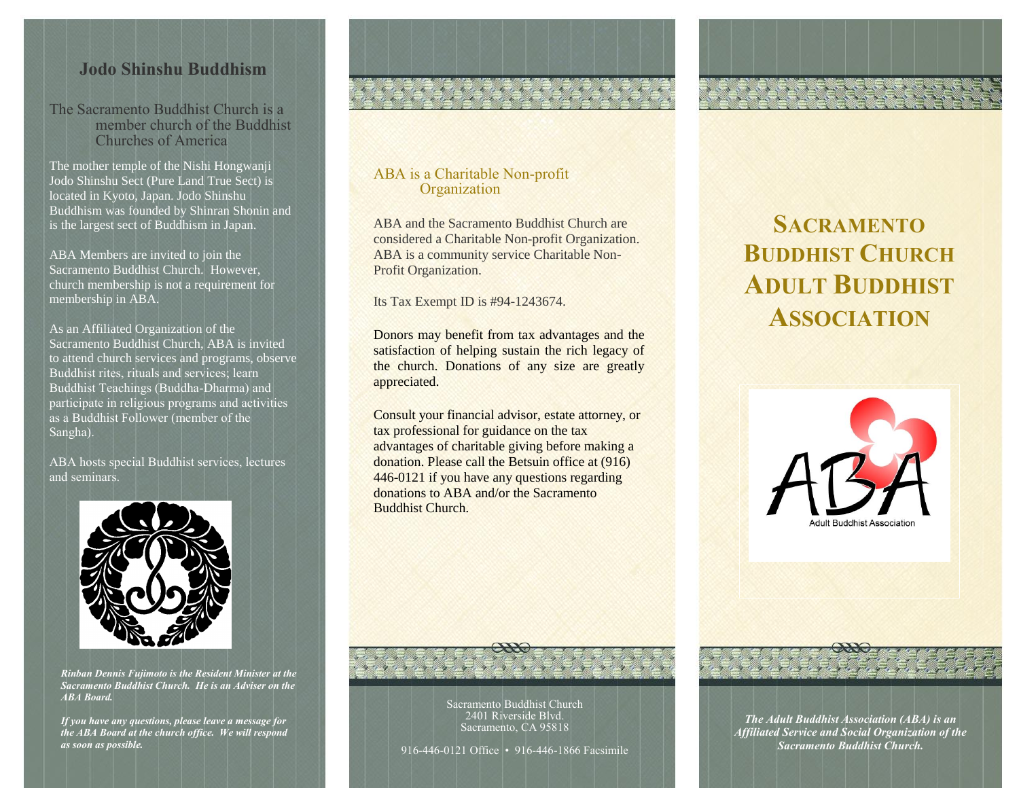### **Jodo Shinshu Buddhism**

The Sacramento Buddhist Church is a member church of the Buddhist Churches of America

The mother temple of the Nishi Hongwanji Jodo Shinshu Sect (Pure Land True Sect) is located in Kyoto, Japan. Jodo Shinshu Buddhism was founded by Shinran Shonin and is the largest sect of Buddhism in Japan.

ABA Members are invited to join the Sacramento Buddhist Church. However, church membership is not a requirement for membership in ABA.

As an Affiliated Organization of the Sacramento Buddhist Church, ABA is invited to attend church services and programs, observe Buddhist rites, rituals and services; learn Buddhist Teachings (Buddha-Dharma) and participate in religious programs and activities as a Buddhist Follower (member of the Sangha).

ABA hosts special Buddhist services, lectures and seminars.



*Rinban Dennis Fujimoto is the Resident Minister at the Sacramento Buddhist Church. He is an Adviser on the ABA Board.*

*If you have any questions, please leave a message for the ABA Board at the church office. We will respond as soon as possible.* 

#### ABA is a Charitable Non-profit **Organization**

ABA and the Sacramento Buddhist Church are considered a Charitable Non-profit Organization. ABA is a community service Charitable Non-Profit Organization.

Reference

Its Tax Exempt ID is #94-1243674.

Donors may benefit from tax advantages and the satisfaction of helping sustain the rich legacy of the church. Donations of any size are greatly appreciated.

Consult your financial advisor, estate attorney, or tax professional for guidance on the tax advantages of charitable giving before making a donation. Please call the Betsuin office at (916) 446-0121 if you have any questions regarding donations to ABA and/or the Sacramento Buddhist Church.

## **SACRAMENTO BUDDHIST CHURCH ADULT BUDDHIST ASSOCIATION**



Sacramento Buddhist Church 2401 Riverside Blvd. Sacramento, CA 95818

916-446-0121 Office • 916-446-1866 Facsimile

*The Adult Buddhist Association (ABA) is an Affiliated Service and Social Organization of the Sacramento Buddhist Church.*